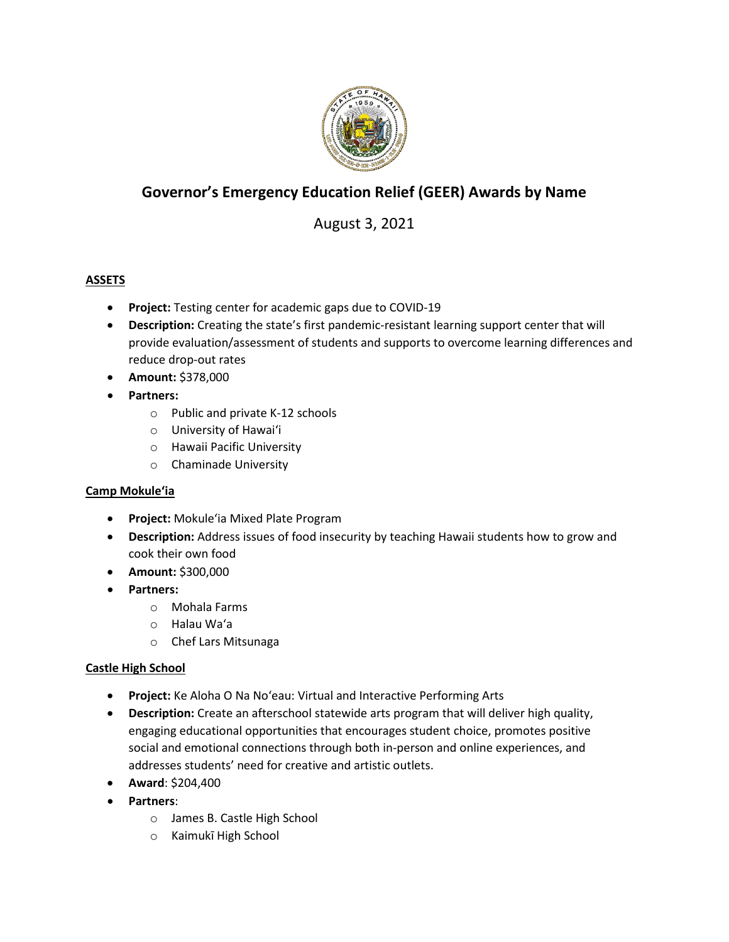

# **Governor's Emergency Education Relief (GEER) Awards by Name**

# August 3, 2021

# **ASSETS**

- **Project:** Testing center for academic gaps due to COVID-19
- **Description:** Creating the state's first pandemic-resistant learning support center that will provide evaluation/assessment of students and supports to overcome learning differences and reduce drop-out rates
- **Amount:** \$378,000
- **Partners:**
	- o Public and private K-12 schools
	- o University of Hawaiʻi
	- o Hawaii Pacific University
	- o Chaminade University

# **Camp Mokuleʻia**

- **Project:** Mokuleʻia Mixed Plate Program
- **Description:** Address issues of food insecurity by teaching Hawaii students how to grow and cook their own food
- **Amount:** \$300,000
- **Partners:** 
	- o Mohala Farms
	- o Halau Waʻa
	- o Chef Lars Mitsunaga

### **Castle High School**

- **Project:** Ke Aloha O Na Noʻeau: Virtual and Interactive Performing Arts
- **Description:** Create an afterschool statewide arts program that will deliver high quality, engaging educational opportunities that encourages student choice, promotes positive social and emotional connections through both in-person and online experiences, and addresses students' need for creative and artistic outlets.
- **Award**: \$204,400
- **Partners**:
	- o James B. Castle High School
	- o Kaimukī High School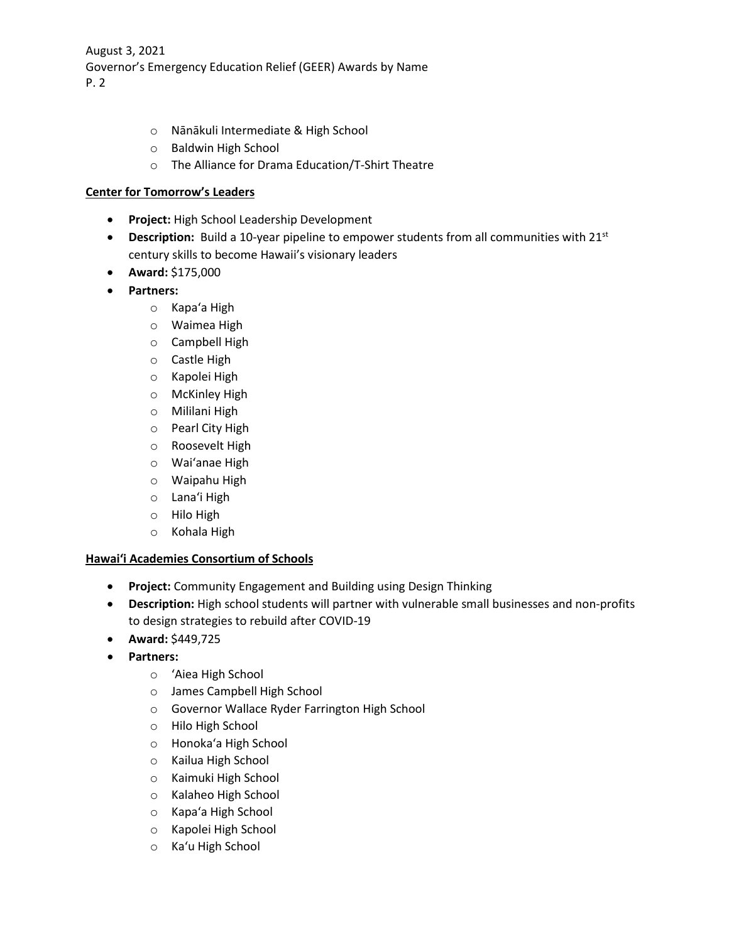- o Nānākuli Intermediate & High School
- o Baldwin High School
- o The Alliance for Drama Education/T-Shirt Theatre

### **Center for Tomorrow's Leaders**

- **Project:** High School Leadership Development
- **Description:** Build a 10-year pipeline to empower students from all communities with 21<sup>st</sup> century skills to become Hawaii's visionary leaders
- **Award:** \$175,000
- **Partners:**
	- o Kapaʻa High
	- o Waimea High
	- o Campbell High
	- o Castle High
	- o Kapolei High
	- o McKinley High
	- o Mililani High
	- o Pearl City High
	- o Roosevelt High
	- o Waiʻanae High
	- o Waipahu High
	- o Lanaʻi High
	- o Hilo High
	- o Kohala High

### **Hawaiʻi Academies Consortium of Schools**

- **Project:** Community Engagement and Building using Design Thinking
- **Description:** High school students will partner with vulnerable small businesses and non-profits to design strategies to rebuild after COVID-19
- **Award:** \$449,725
- **Partners:**
	- o ʻAiea High School
	- o James Campbell High School
	- o Governor Wallace Ryder Farrington High School
	- o Hilo High School
	- o Honokaʻa High School
	- o Kailua High School
	- o Kaimuki High School
	- o Kalaheo High School
	- o Kapaʻa High School
	- o Kapolei High School
	- o Kaʻu High School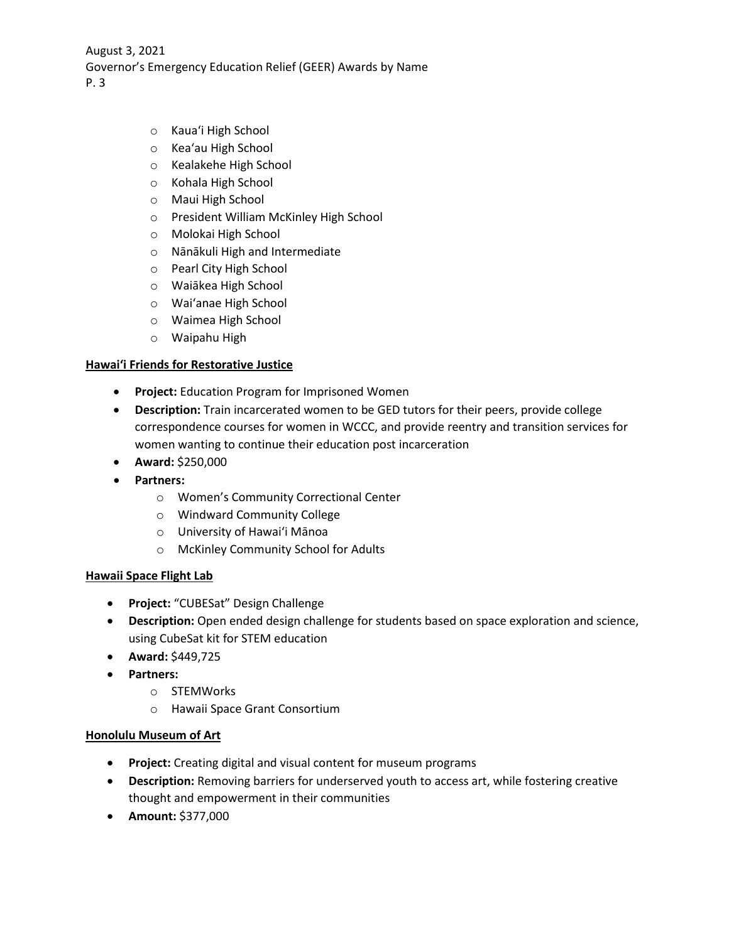- o Kauaʻi High School
- o Keaʻau High School
- o Kealakehe High School
- o Kohala High School
- o Maui High School
- o President William McKinley High School
- o Molokai High School
- o Nānākuli High and Intermediate
- o Pearl City High School
- o Waiākea High School
- o Waiʻanae High School
- o Waimea High School
- o Waipahu High

### **Hawaiʻi Friends for Restorative Justice**

- **Project:** Education Program for Imprisoned Women
- **Description:** Train incarcerated women to be GED tutors for their peers, provide college correspondence courses for women in WCCC, and provide reentry and transition services for women wanting to continue their education post incarceration
- **Award:** \$250,000
- **Partners:**
	- o Women's Community Correctional Center
	- o Windward Community College
	- o University of Hawaiʻi Mānoa
	- o McKinley Community School for Adults

### **Hawaii Space Flight Lab**

- **Project:** "CUBESat" Design Challenge
- **Description:** Open ended design challenge for students based on space exploration and science, using CubeSat kit for STEM education
- **Award:** \$449,725
- **Partners:**
	- o STEMWorks
	- o Hawaii Space Grant Consortium

### **Honolulu Museum of Art**

- **Project:** Creating digital and visual content for museum programs
- **Description:** Removing barriers for underserved youth to access art, while fostering creative thought and empowerment in their communities
- **Amount:** \$377,000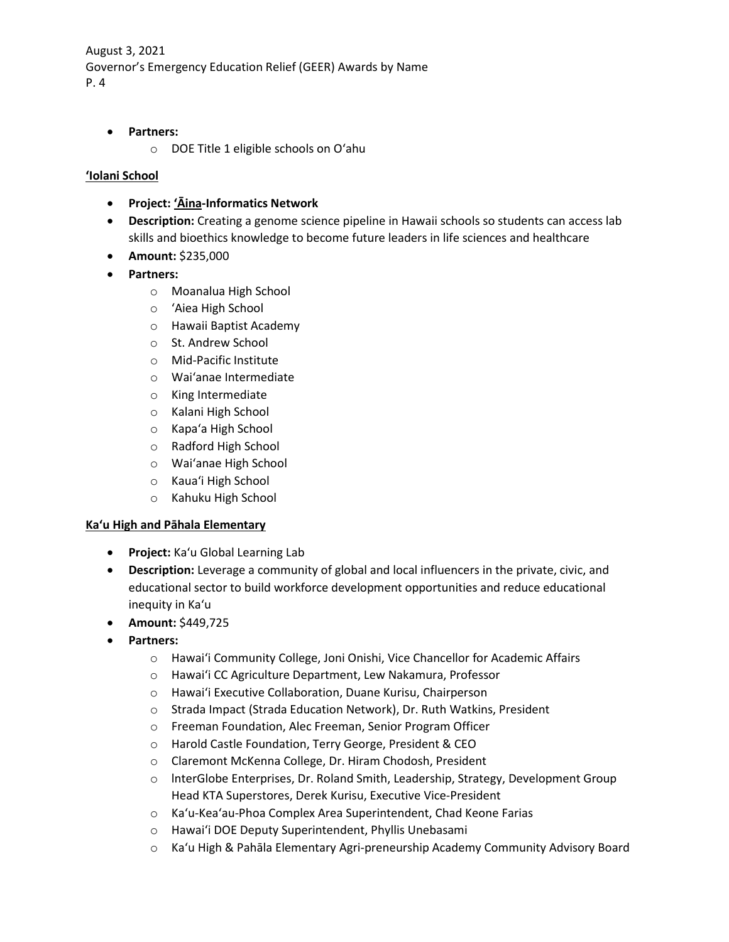- **Partners:**
	- o DOE Title 1 eligible schools on Oʻahu

#### **ʻIolani School**

- **Project: ʻĀina-Informatics Network**
- **Description:** Creating a genome science pipeline in Hawaii schools so students can access lab skills and bioethics knowledge to become future leaders in life sciences and healthcare
- **Amount:** \$235,000
- **Partners:**
	- o Moanalua High School
	- o ʻAiea High School
	- o Hawaii Baptist Academy
	- o St. Andrew School
	- o Mid-Pacific Institute
	- o Waiʻanae Intermediate
	- o King Intermediate
	- o Kalani High School
	- o Kapaʻa High School
	- o Radford High School
	- o Waiʻanae High School
	- o Kauaʻi High School
	- o Kahuku High School

#### **Kaʻu High and Pāhala Elementary**

- **Project:** Kaʻu Global Learning Lab
- **Description:** Leverage a community of global and local influencers in the private, civic, and educational sector to build workforce development opportunities and reduce educational inequity in Kaʻu
- **Amount:** \$449,725
- **Partners:**
	- o Hawaiʻi Community College, Joni Onishi, Vice Chancellor for Academic Affairs
	- o Hawaiʻi CC Agriculture Department, Lew Nakamura, Professor
	- o Hawaiʻi Executive Collaboration, Duane Kurisu, Chairperson
	- o Strada Impact (Strada Education Network), Dr. Ruth Watkins, President
	- o Freeman Foundation, Alec Freeman, Senior Program Officer
	- o Harold Castle Foundation, Terry George, President & CEO
	- o Claremont McKenna College, Dr. Hiram Chodosh, President
	- o lnterGlobe Enterprises, Dr. Roland Smith, Leadership, Strategy, Development Group Head KTA Superstores, Derek Kurisu, Executive Vice-President
	- o Kaʻu-Keaʻau-Phoa Complex Area Superintendent, Chad Keone Farias
	- o Hawaiʻi DOE Deputy Superintendent, Phyllis Unebasami
	- o Kaʻu High & Pahāla Elementary Agri-preneurship Academy Community Advisory Board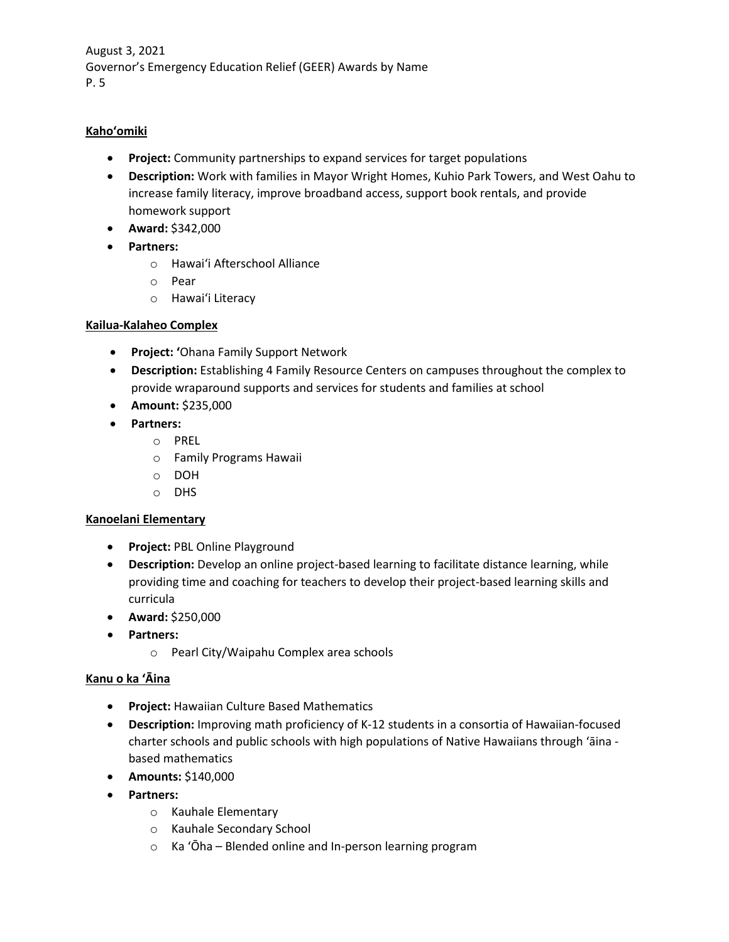# **Kahoʻomiki**

- **Project:** Community partnerships to expand services for target populations
- **Description:** Work with families in Mayor Wright Homes, Kuhio Park Towers, and West Oahu to increase family literacy, improve broadband access, support book rentals, and provide homework support
- **Award:** \$342,000
- **Partners:**
	- o Hawaiʻi Afterschool Alliance
	- o Pear
	- o Hawaiʻi Literacy

### **Kailua-Kalaheo Complex**

- **Project: ʻ**Ohana Family Support Network
- **Description:** Establishing 4 Family Resource Centers on campuses throughout the complex to provide wraparound supports and services for students and families at school
- **Amount:** \$235,000
- **Partners:** 
	- o PREL
	- o Family Programs Hawaii
	- o DOH
	- o DHS

### **Kanoelani Elementary**

- **Project:** PBL Online Playground
- **Description:** Develop an online project-based learning to facilitate distance learning, while providing time and coaching for teachers to develop their project-based learning skills and curricula
- **Award:** \$250,000
- **Partners:**
	- o Pearl City/Waipahu Complex area schools

### **Kanu o ka ʻĀina**

- **Project:** Hawaiian Culture Based Mathematics
- **Description:** Improving math proficiency of K-12 students in a consortia of Hawaiian-focused charter schools and public schools with high populations of Native Hawaiians through ʻāina based mathematics
- **Amounts:** \$140,000
- **Partners:**
	- o Kauhale Elementary
	- o Kauhale Secondary School
	- o Ka ʻŌha Blended online and In-person learning program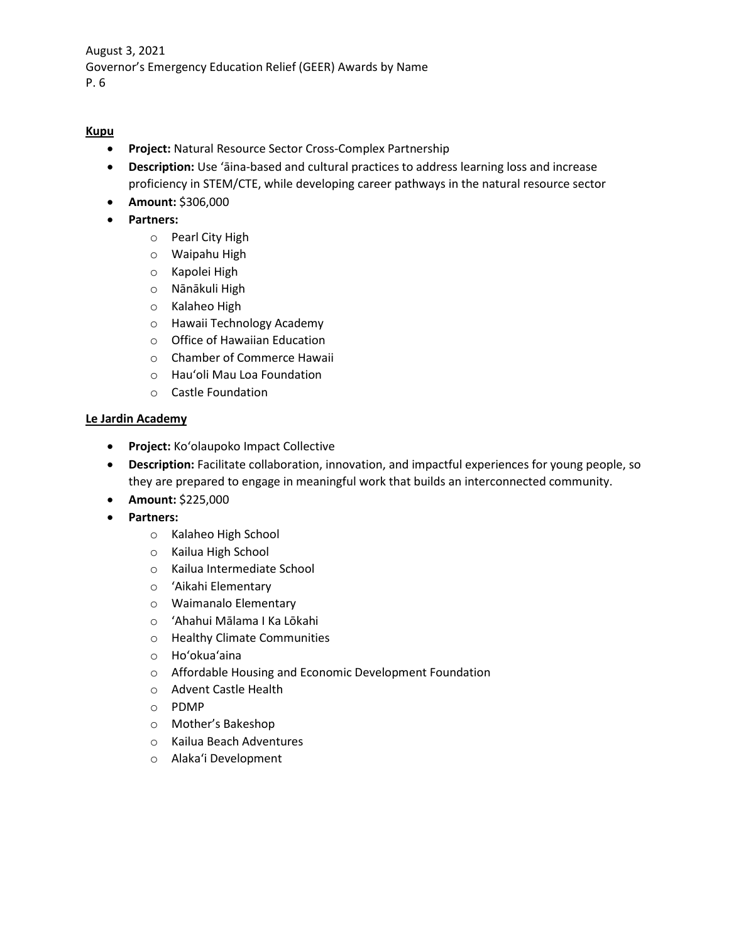# **Kupu**

- **Project:** Natural Resource Sector Cross-Complex Partnership
- **Description:** Use ʻāina-based and cultural practices to address learning loss and increase proficiency in STEM/CTE, while developing career pathways in the natural resource sector
- **Amount:** \$306,000
- **Partners:**
	- o Pearl City High
	- o Waipahu High
	- o Kapolei High
	- o Nānākuli High
	- o Kalaheo High
	- o Hawaii Technology Academy
	- o Office of Hawaiian Education
	- o Chamber of Commerce Hawaii
	- o Hauʻoli Mau Loa Foundation
	- o Castle Foundation

### **Le Jardin Academy**

- **Project:** Koʻolaupoko Impact Collective
- **Description:** Facilitate collaboration, innovation, and impactful experiences for young people, so they are prepared to engage in meaningful work that builds an interconnected community.
- **Amount:** \$225,000
- **Partners:**
	- o Kalaheo High School
	- o Kailua High School
	- o Kailua Intermediate School
	- o ʻAikahi Elementary
	- o Waimanalo Elementary
	- o ʻAhahui Mālama I Ka Lōkahi
	- o Healthy Climate Communities
	- o Hoʻokuaʻaina
	- o Affordable Housing and Economic Development Foundation
	- o Advent Castle Health
	- o PDMP
	- o Mother's Bakeshop
	- o Kailua Beach Adventures
	- o Alakaʻi Development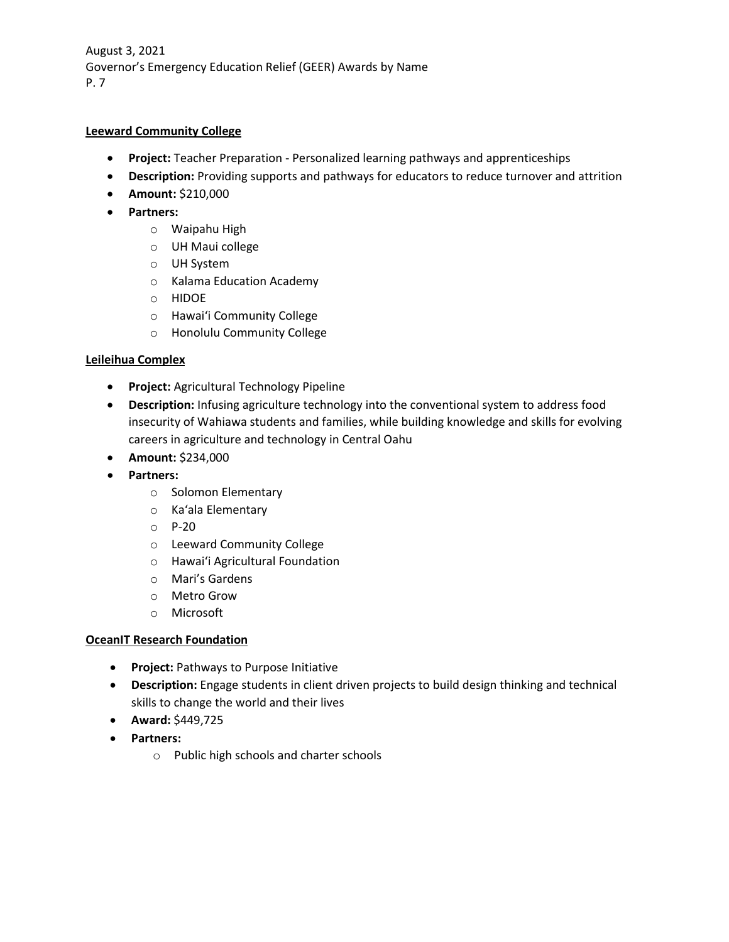### **Leeward Community College**

- **Project:** Teacher Preparation Personalized learning pathways and apprenticeships
- **Description:** Providing supports and pathways for educators to reduce turnover and attrition
- **Amount:** \$210,000
- **Partners:**
	- o Waipahu High
	- o UH Maui college
	- o UH System
	- o Kalama Education Academy
	- o HIDOE
	- o Hawaiʻi Community College
	- o Honolulu Community College

## **Leileihua Complex**

- **Project:** Agricultural Technology Pipeline
- **Description:** Infusing agriculture technology into the conventional system to address food insecurity of Wahiawa students and families, while building knowledge and skills for evolving careers in agriculture and technology in Central Oahu
- **Amount:** \$234,000
- **Partners:**
	- o Solomon Elementary
	- o Kaʻala Elementary
	- o P-20
	- o Leeward Community College
	- o Hawaiʻi Agricultural Foundation
	- o Mari's Gardens
	- o Metro Grow
	- o Microsoft

### **OceanIT Research Foundation**

- **Project:** Pathways to Purpose Initiative
- **Description:** Engage students in client driven projects to build design thinking and technical skills to change the world and their lives
- **Award:** \$449,725
- **Partners:**
	- o Public high schools and charter schools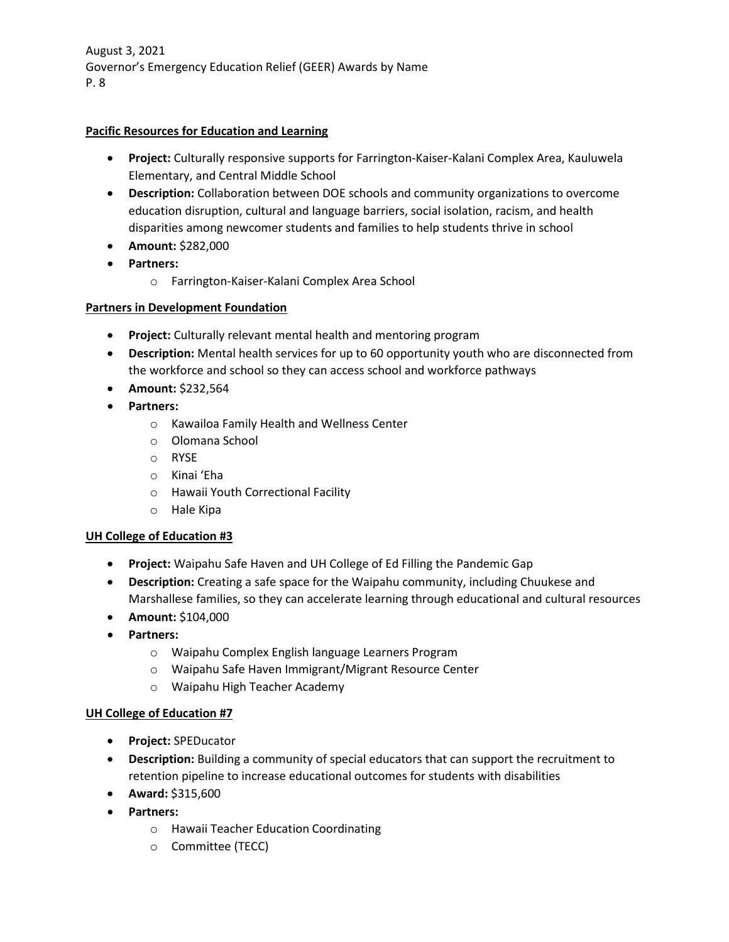## **Pacific Resources for Education and Learning**

- **Project:** Culturally responsive supports for Farrington-Kaiser-Kalani Complex Area, Kauluwela Elementary, and Central Middle School
- **Description:** Collaboration between DOE schools and community organizations to overcome education disruption, cultural and language barriers, social isolation, racism, and health disparities among newcomer students and families to help students thrive in school
- **Amount:** \$282,000
- **Partners:**
	- o Farrington-Kaiser-Kalani Complex Area School

## **Partners in Development Foundation**

- **Project:** Culturally relevant mental health and mentoring program
- **Description:** Mental health services for up to 60 opportunity youth who are disconnected from the workforce and school so they can access school and workforce pathways
- **Amount:** \$232,564
- **Partners:**
	- o Kawailoa Family Health and Wellness Center
	- o Olomana School
	- o RYSE
	- o Kinai ʻEha
	- o Hawaii Youth Correctional Facility
	- o Hale Kipa

### **UH College of Education #3**

- **Project:** Waipahu Safe Haven and UH College of Ed Filling the Pandemic Gap
- **Description:** Creating a safe space for the Waipahu community, including Chuukese and Marshallese families, so they can accelerate learning through educational and cultural resources
- **Amount:** \$104,000
- **Partners:**
	- o Waipahu Complex English language Learners Program
	- o Waipahu Safe Haven Immigrant/Migrant Resource Center
	- o Waipahu High Teacher Academy

### **UH College of Education #7**

- **Project:** SPEDucator
- **Description:** Building a community of special educators that can support the recruitment to retention pipeline to increase educational outcomes for students with disabilities
- **Award:** \$315,600
- **Partners:** 
	- o Hawaii Teacher Education Coordinating
	- o Committee (TECC)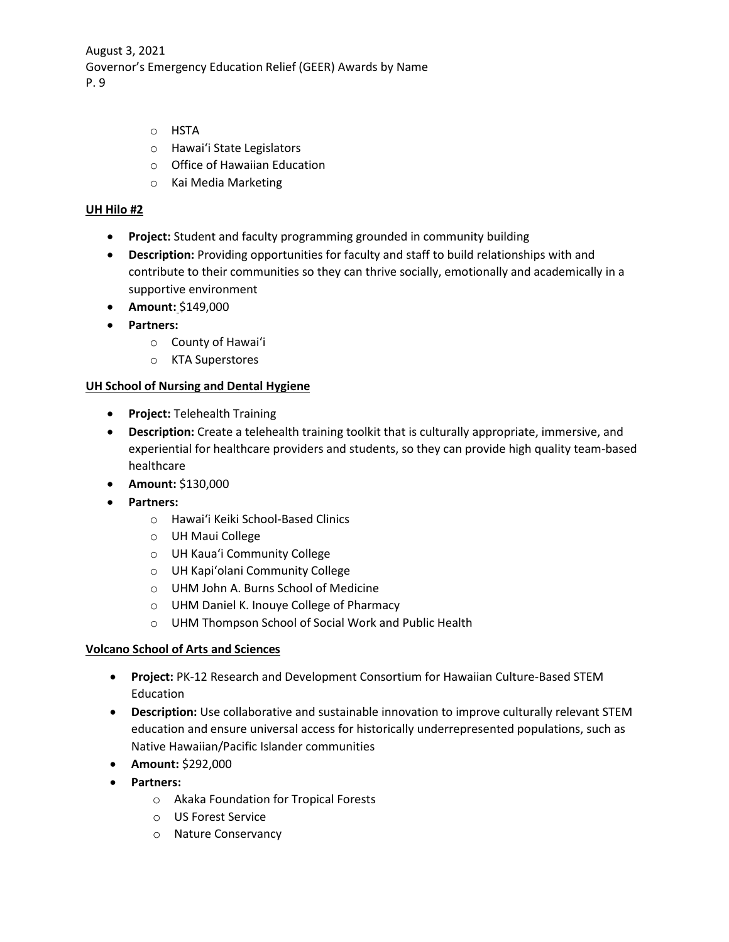- o HSTA
- o Hawaiʻi State Legislators
- o Office of Hawaiian Education
- o Kai Media Marketing

#### **UH Hilo #2**

- **Project:** Student and faculty programming grounded in community building
- **Description:** Providing opportunities for faculty and staff to build relationships with and contribute to their communities so they can thrive socially, emotionally and academically in a supportive environment
- **Amount:** \$149,000
- **Partners:**
	- o County of Hawaiʻi
	- o KTA Superstores

### **UH School of Nursing and Dental Hygiene**

- **Project:** Telehealth Training
- **Description:** Create a telehealth training toolkit that is culturally appropriate, immersive, and experiential for healthcare providers and students, so they can provide high quality team-based healthcare
- **Amount:** \$130,000
- **Partners:**
	- o Hawaiʻi Keiki School-Based Clinics
	- o UH Maui College
	- o UH Kauaʻi Community College
	- o UH Kapiʻolani Community College
	- o UHM John A. Burns School of Medicine
	- o UHM Daniel K. Inouye College of Pharmacy
	- o UHM Thompson School of Social Work and Public Health

### **Volcano School of Arts and Sciences**

- **Project:** PK-12 Research and Development Consortium for Hawaiian Culture-Based STEM Education
- **Description:** Use collaborative and sustainable innovation to improve culturally relevant STEM education and ensure universal access for historically underrepresented populations, such as Native Hawaiian/Pacific Islander communities
- **Amount:** \$292,000
- **Partners:**
	- o Akaka Foundation for Tropical Forests
	- o US Forest Service
	- o Nature Conservancy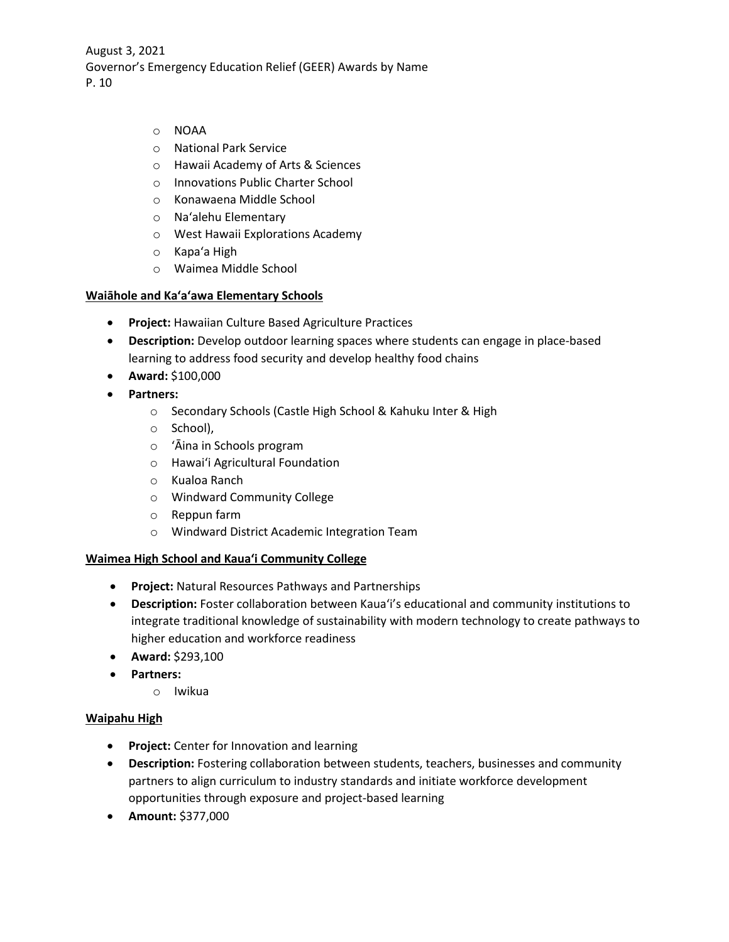- o NOAA
- o National Park Service
- o Hawaii Academy of Arts & Sciences
- o Innovations Public Charter School
- o Konawaena Middle School
- o Naʻalehu Elementary
- o West Hawaii Explorations Academy
- o Kapaʻa High
- o Waimea Middle School

#### **Waiāhole and Kaʻaʻawa Elementary Schools**

- **Project:** Hawaiian Culture Based Agriculture Practices
- **Description:** Develop outdoor learning spaces where students can engage in place-based learning to address food security and develop healthy food chains
- **Award:** \$100,000
- **Partners:**
	- o Secondary Schools (Castle High School & Kahuku Inter & High
	- o School),
	- o ʻĀina in Schools program
	- o Hawaiʻi Agricultural Foundation
	- o Kualoa Ranch
	- o Windward Community College
	- o Reppun farm
	- o Windward District Academic Integration Team

#### **Waimea High School and Kauaʻi Community College**

- **Project:** Natural Resources Pathways and Partnerships
- **Description:** Foster collaboration between Kauaʻi's educational and community institutions to integrate traditional knowledge of sustainability with modern technology to create pathways to higher education and workforce readiness
- **Award:** \$293,100
- **Partners:**
	- o Iwikua

#### **Waipahu High**

- **Project:** Center for Innovation and learning
- **Description:** Fostering collaboration between students, teachers, businesses and community partners to align curriculum to industry standards and initiate workforce development opportunities through exposure and project-based learning
- **Amount:** \$377,000